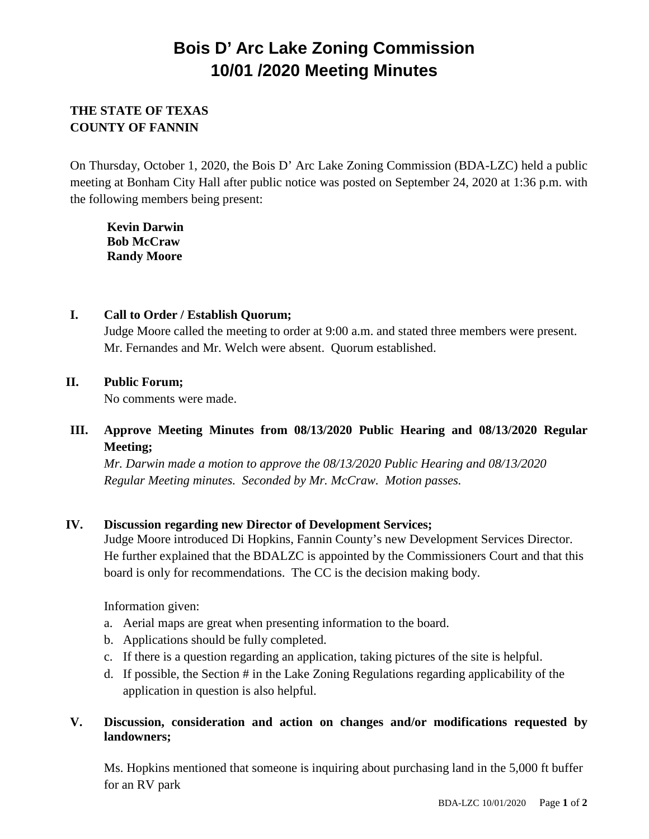# **Bois D' Arc Lake Zoning Commission 10/01 /2020 Meeting Minutes**

## **THE STATE OF TEXAS COUNTY OF FANNIN**

On Thursday, October 1, 2020, the Bois D' Arc Lake Zoning Commission (BDA-LZC) held a public meeting at Bonham City Hall after public notice was posted on September 24, 2020 at 1:36 p.m. with the following members being present:

**Kevin Darwin Bob McCraw Randy Moore**

### **I. Call to Order / Establish Quorum;**

Judge Moore called the meeting to order at 9:00 a.m. and stated three members were present. Mr. Fernandes and Mr. Welch were absent. Quorum established.

## **II. Public Forum;**

No comments were made.

## **III. Approve Meeting Minutes from 08/13/2020 Public Hearing and 08/13/2020 Regular Meeting;**

*Mr. Darwin made a motion to approve the 08/13/2020 Public Hearing and 08/13/2020 Regular Meeting minutes. Seconded by Mr. McCraw. Motion passes.*

## **IV. Discussion regarding new Director of Development Services;**

Judge Moore introduced Di Hopkins, Fannin County's new Development Services Director. He further explained that the BDALZC is appointed by the Commissioners Court and that this board is only for recommendations. The CC is the decision making body.

Information given:

- a. Aerial maps are great when presenting information to the board.
- b. Applications should be fully completed.
- c. If there is a question regarding an application, taking pictures of the site is helpful.
- d. If possible, the Section # in the Lake Zoning Regulations regarding applicability of the application in question is also helpful.

## **V. Discussion, consideration and action on changes and/or modifications requested by landowners;**

Ms. Hopkins mentioned that someone is inquiring about purchasing land in the 5,000 ft buffer for an RV park